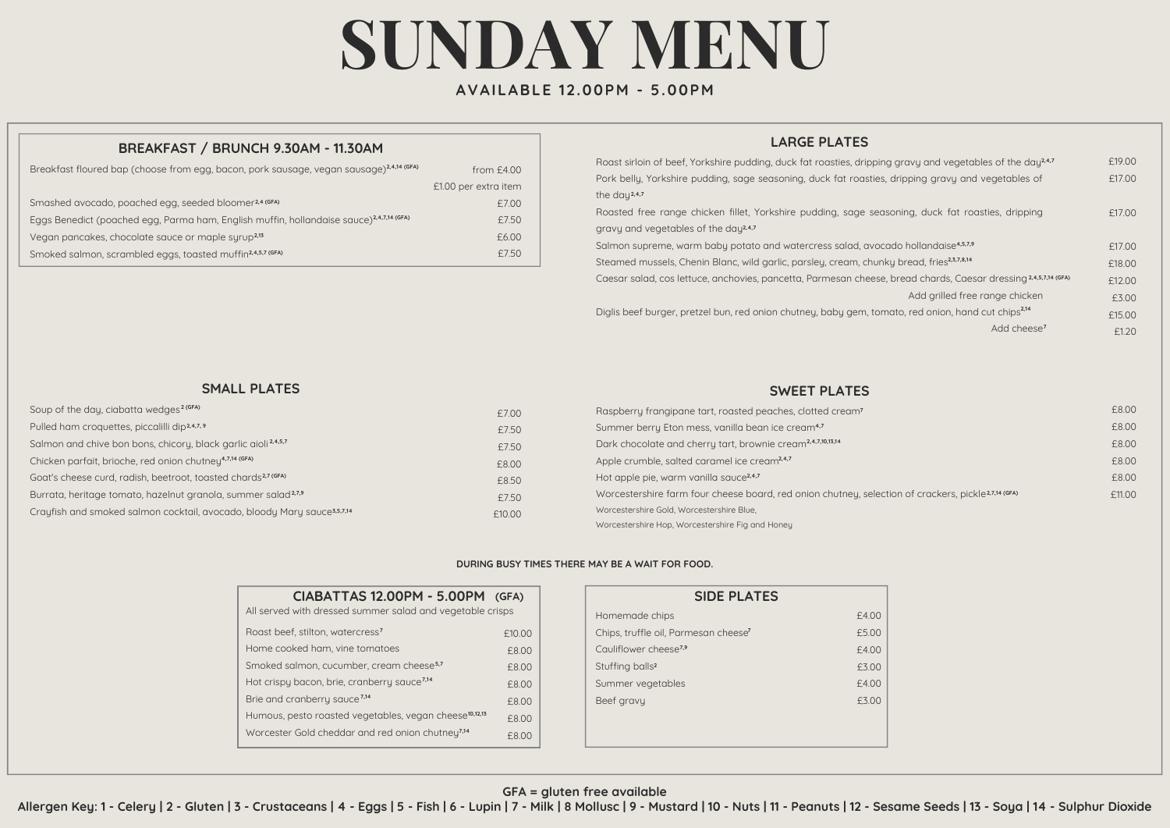# **SUNDAY MENU**

## **AVAILABLE 12.00PM - 5.00PM**

## **BREAKFAST / BRUNCH 9.30AM - 11.30AM**

| Breakfast floured bap (choose from egg, bacon, pork sausage, vegan sausage) <sup>2,4,14</sup> (GFA) | from $£4.00$         |
|-----------------------------------------------------------------------------------------------------|----------------------|
|                                                                                                     | £1.00 per extra item |
| Smashed avocado, poached egg, seeded bloomer <sup>2,4 (GFA)</sup>                                   | £7.00                |
| Eggs Benedict (poached egg, Parma ham, English muffin, hollandaise sauce) <sup>2,4,7,14</sup> (GFA) | £7.50                |
| Vegan pancakes, chocolate sauce or maple surup <sup>2,13</sup>                                      | £6.00                |
| Smoked salmon, scrambled eggs, toasted muffin <sup>2,4,5,7</sup> (GFA)                              | £7.50                |

### **LARGE PLATES**

| Roast sirloin of beef, Yorkshire pudding, duck fat roasties, dripping gravy and vegetables of the day <sup>24,7</sup> | £19.00 |  |
|-----------------------------------------------------------------------------------------------------------------------|--------|--|
| Pork belly, Yorkshire pudding, sage seasoning, duck fat roasties, dripping gravy and vegetables of                    |        |  |
| the day <sup>2,4,7</sup>                                                                                              |        |  |
| Roasted free range chicken fillet, Yorkshire pudding, sage seasoning, duck fat roasties, dripping                     | £17.00 |  |
| gravy and vegetables of the day <sup>2,4,7</sup>                                                                      |        |  |
| Salmon supreme, warm baby potato and watercress salad, avocado hollandaise <sup>4,5,7,9</sup>                         | £17.00 |  |
| Steamed mussels, Chenin Blanc, wild garlic, parsley, cream, chunky bread, fries <sup>2,3,7,8,14</sup>                 | £18.00 |  |
| Caesar salad, cos lettuce, anchovies, pancetta, Parmesan cheese, bread chards, Caesar dressing 24,5,7,14 (GFA)        | £12.00 |  |
| Add arilled free range chicken                                                                                        | £3.00  |  |
| Diglis beef burger, pretzel bun, red onion chutney, baby gem, tomato, red onion, hand cut chips <sup>214</sup>        | £15.00 |  |
| Add cheese <sup>7</sup>                                                                                               | £1.20  |  |

#### **SMALL PLATES**

| Soup of the day, ciabatta wedges <sup>2 (GFA)</sup>                                 | £7.00  |
|-------------------------------------------------------------------------------------|--------|
| Pulled ham croquettes, piccalilli dip2,4,7,9                                        | £7.50  |
| Salmon and chive bon bons, chicory, black garlic aioli <sup>2,4,5,7</sup>           | £7.50  |
| Chicken parfait, brioche, red onion chutneu <sup>4,7,14 (GFA)</sup>                 | £8.00  |
| Goat's cheese curd, radish, beetroot, toasted chards <sup>2,7 (GFA)</sup>           | £8.50  |
| Burrata, heritage tomato, hazelnut granola, summer salad <sup>2,7,9</sup>           | £7.50  |
| Crayfish and smoked salmon cocktail, avocado, bloody Mary sauce <sup>3,5,7,14</sup> | £10.00 |

#### **SWEET PLATES**

| Raspberry frangipane tart, roasted peaches, clotted cream?                                                      | £8.00  |
|-----------------------------------------------------------------------------------------------------------------|--------|
| Summer berry Eton mess, vanilla bean ice cream <sup>4,7</sup>                                                   | £8.00  |
| Dark chocolate and cherry tart, brownie cream <sup>2,4,7,10,13,14</sup>                                         | £8.00  |
| Apple crumble, salted caramel ice cream <sup>2,4,7</sup>                                                        | £8.00  |
| Hot apple pie, warm vanilla sauce <sup>2,4,7</sup>                                                              | £8.00  |
| Worcestershire farm four cheese board, red onion chutney, selection of crackers, pickle <sup>2,7,14 (GFA)</sup> | £11.00 |
| Worcestershire Gold, Worcestershire Blue,                                                                       |        |
| Worcestershire Hop, Worcestershire Fig and Honey                                                                |        |

#### **DURING BUSY TIMES THERE MAY BE A WAIT FOR FOOD.**

| CIABATTAS 12.00PM - 5.00PM (GFA)<br>All served with dressed summer salad and vegetable crisps |        |
|-----------------------------------------------------------------------------------------------|--------|
| Roast beef, stilton, watercress?                                                              | £10.00 |
| Home cooked ham, vine tomatoes                                                                | £8.00  |
| Smoked salmon, cucumber, cream cheese <sup>5,7</sup>                                          | £8.00  |
| Hot crispy bacon, brie, cranberry sauce <sup>7,14</sup>                                       | £8.00  |
| Brie and cranberry sauce <sup>7,14</sup>                                                      | £8.00  |
| Humous, pesto roasted vegetables, vegan cheese <sup>10,12,13</sup>                            | £8.00  |
| Worcester Gold cheddar and red onion chutney <sup>7,14</sup>                                  | £8.00  |

| <b>SIDE PLATES</b>                               |       |  |  |
|--------------------------------------------------|-------|--|--|
| Homemade chips                                   | £4.00 |  |  |
| Chips, truffle oil, Parmesan cheese <sup>7</sup> | £5.00 |  |  |
| Cauliflower cheese <sup>7,9</sup>                | £4.00 |  |  |
| Stuffing balls <sup>2</sup>                      | £3.00 |  |  |
| Summer vegetables                                | £4.00 |  |  |
| Beef gravy                                       | £3.00 |  |  |
|                                                  |       |  |  |
|                                                  |       |  |  |

### **GFA = gluten free available**

Allergen Key: 1 - Celery | 2 - Gluten | 3 - Crustaceans | 4 - Eggs | 5 - Fish | 6 - Lupin | 7 - Milk | 8 Mollusc | 9 - Mustard | 10 - Nuts | 11 - Peanuts | 12 - Sesame Seeds | 13 - Soya | 14 - Sulphur Dioxide